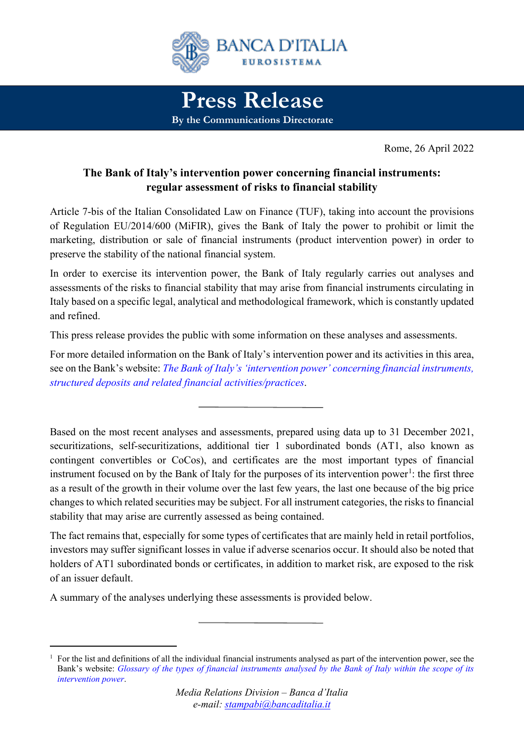

Rome, 26 April 2022

# **The Bank of Italy's intervention power concerning financial instruments: regular assessment of risks to financial stability**

Article 7-bis of the Italian Consolidated Law on Finance (TUF), taking into account the provisions of Regulation EU/2014/600 (MiFIR), gives the Bank of Italy the power to prohibit or limit the marketing, distribution or sale of financial instruments (product intervention power) in order to preserve the stability of the national financial system.

In order to exercise its intervention power, the Bank of Italy regularly carries out analyses and assessments of the risks to financial stability that may arise from financial instruments circulating in Italy based on a specific legal, analytical and methodological framework, which is constantly updated and refined.

This press release provides the public with some information on these analyses and assessments.

For more detailed information on the Bank of Italy's intervention power and its activities in this area, see on the Bank's website: *[The Bank of Italy's 'intervention power'](https://www.bancaditalia.it/compiti/stabilita-finanziaria/potere-intervento/index.html?language_id=1) concerning financial instruments, [structured deposits and related financial activities/practices](https://www.bancaditalia.it/compiti/stabilita-finanziaria/potere-intervento/index.html?language_id=1)*.

Based on the most recent analyses and assessments, prepared using data up to 31 December 2021, securitizations, self-securitizations, additional tier 1 subordinated bonds (AT1, also known as contingent convertibles or CoCos), and certificates are the most important types of financial instrument focused on by the Bank of Italy for the purposes of its intervention power<sup>[1](#page-0-0)</sup>: the first three as a result of the growth in their volume over the last few years, the last one because of the big price changes to which related securities may be subject. For all instrument categories, the risks to financial stability that may arise are currently assessed as being contained.

The fact remains that, especially for some types of certificates that are mainly held in retail portfolios, investors may suffer significant losses in value if adverse scenarios occur. It should also be noted that holders of AT1 subordinated bonds or certificates, in addition to market risk, are exposed to the risk of an issuer default.

A summary of the analyses underlying these assessments is provided below.

 $\overline{a}$ 

<span id="page-0-0"></span> $1$  For the list and definitions of all the individual financial instruments analysed as part of the intervention power, see the Bank's website: *[Glossary of the types of financial instruments analysed by the Bank of Italy within the scope of its](https://www.bancaditalia.it/compiti/stabilita-finanziaria/potere-intervento/potere-glossario/index.html?language_id=1)  [intervention power](https://www.bancaditalia.it/compiti/stabilita-finanziaria/potere-intervento/potere-glossario/index.html?language_id=1)*.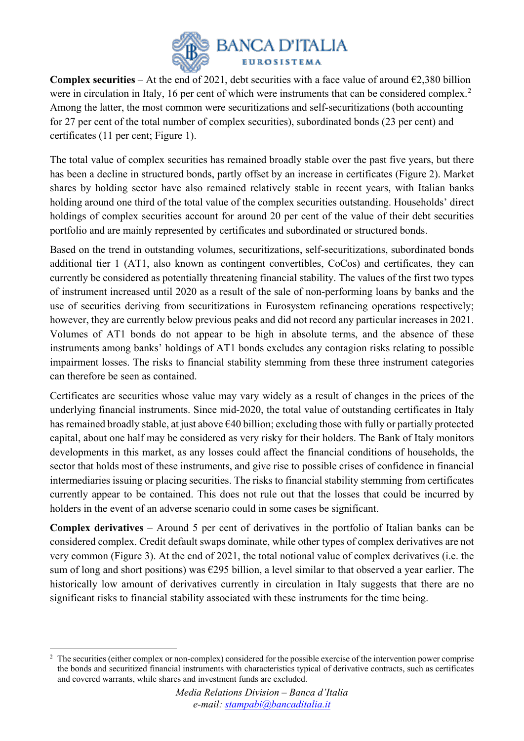

**Complex securities** – At the end of 2021, debt securities with a face value of around  $\epsilon$ 2,380 billion were in circulation in Italy, 16 per cent of which were instruments that can be considered complex.<sup>[2](#page-1-0)</sup> Among the latter, the most common were securitizations and self-securitizations (both accounting for 27 per cent of the total number of complex securities), subordinated bonds (23 per cent) and certificates (11 per cent; Figure 1).

The total value of complex securities has remained broadly stable over the past five years, but there has been a decline in structured bonds, partly offset by an increase in certificates (Figure 2). Market shares by holding sector have also remained relatively stable in recent years, with Italian banks holding around one third of the total value of the complex securities outstanding. Households' direct holdings of complex securities account for around 20 per cent of the value of their debt securities portfolio and are mainly represented by certificates and subordinated or structured bonds.

Based on the trend in outstanding volumes, securitizations, self-securitizations, subordinated bonds additional tier 1 (AT1, also known as contingent convertibles, CoCos) and certificates, they can currently be considered as potentially threatening financial stability. The values of the first two types of instrument increased until 2020 as a result of the sale of non-performing loans by banks and the use of securities deriving from securitizations in Eurosystem refinancing operations respectively; however, they are currently below previous peaks and did not record any particular increases in 2021. Volumes of AT1 bonds do not appear to be high in absolute terms, and the absence of these instruments among banks' holdings of AT1 bonds excludes any contagion risks relating to possible impairment losses. The risks to financial stability stemming from these three instrument categories can therefore be seen as contained.

Certificates are securities whose value may vary widely as a result of changes in the prices of the underlying financial instruments. Since mid-2020, the total value of outstanding certificates in Italy has remained broadly stable, at just above €40 billion; excluding those with fully or partially protected capital, about one half may be considered as very risky for their holders. The Bank of Italy monitors developments in this market, as any losses could affect the financial conditions of households, the sector that holds most of these instruments, and give rise to possible crises of confidence in financial intermediaries issuing or placing securities. The risks to financial stability stemming from certificates currently appear to be contained. This does not rule out that the losses that could be incurred by holders in the event of an adverse scenario could in some cases be significant.

**Complex derivatives** – Around 5 per cent of derivatives in the portfolio of Italian banks can be considered complex. Credit default swaps dominate, while other types of complex derivatives are not very common (Figure 3). At the end of 2021, the total notional value of complex derivatives (i.e. the sum of long and short positions) was  $\epsilon$ 295 billion, a level similar to that observed a year earlier. The historically low amount of derivatives currently in circulation in Italy suggests that there are no significant risks to financial stability associated with these instruments for the time being.

 $\overline{a}$ 

<span id="page-1-0"></span><sup>&</sup>lt;sup>2</sup> The securities (either complex or non-complex) considered for the possible exercise of the intervention power comprise the bonds and securitized financial instruments with characteristics typical of derivative contracts, such as certificates and covered warrants, while shares and investment funds are excluded.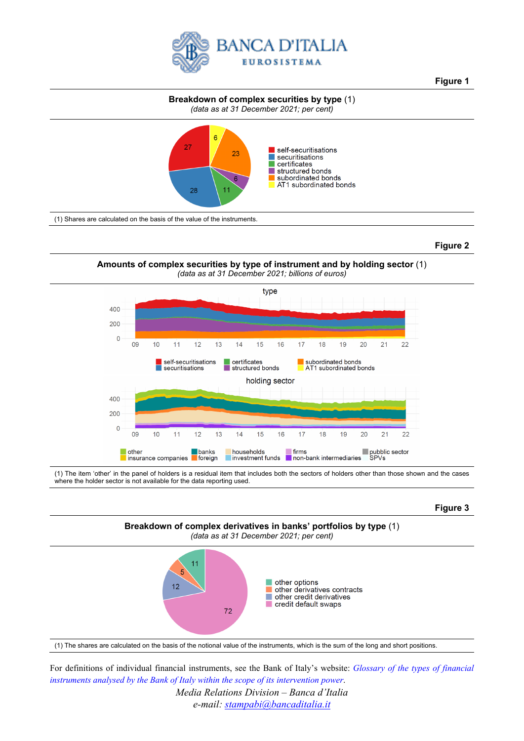

**Figure 1**

#### **Breakdown of complex securities by type** (1) *(data as at 31 December 2021; per cent)*



### **Figure 2**

**Amounts of complex securities by type of instrument and by holding sector** (1) *(data as at 31 December 2021; billions of euros)*



(1) The item 'other' in the panel of holders is a residual item that includes both the sectors of holders other than those shown and the cases where the holder sector is not available for the data reporting used.

### **Figure 3**



(1) The shares are calculated on the basis of the notional value of the instruments, which is the sum of the long and short positions.

For definitions of individual financial instruments, see the Bank of Italy's website: *[Glossary of the types of financial](https://www.bancaditalia.it/compiti/stabilita-finanziaria/potere-intervento/potere-glossario/index.html?language_id=1)  [instruments analysed by the Bank of Italy](https://www.bancaditalia.it/compiti/stabilita-finanziaria/potere-intervento/potere-glossario/index.html?language_id=1) within the scope of its intervention power*.

> *Media Relations Division – Banca d'Italia e-mail: [stampabi@bancaditalia.it](mailto:stampabi@bancaditalia.it)*